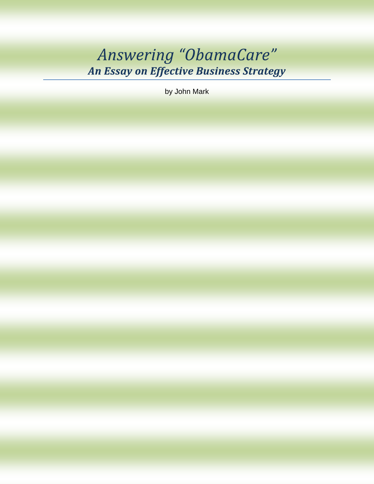# Answering "ObamaCare" An Essay on Effective Business Strategy

by John Mark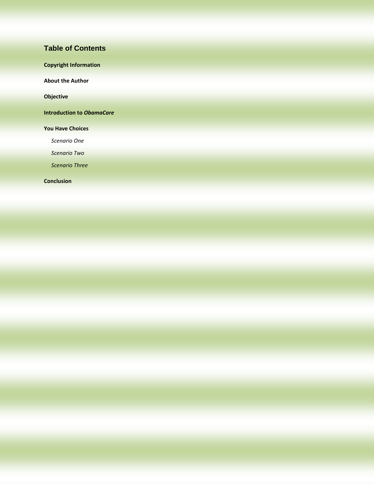#### **Table of Contents**

| <b>Copyright Information</b>     |  |
|----------------------------------|--|
| <b>About the Author</b>          |  |
| <b>Objective</b>                 |  |
| <b>Introduction to ObamaCare</b> |  |
| <b>You Have Choices</b>          |  |
| Scenario One                     |  |
| <b>Scenario Two</b>              |  |
|                                  |  |

**[Conclusion](#page-10-0)**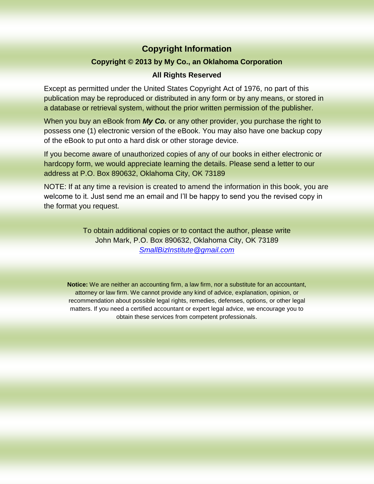## **Copyright Information**

#### **Copyright © 2013 by My Co., an Oklahoma Corporation**

#### **All Rights Reserved**

<span id="page-2-0"></span>Except as permitted under the United States Copyright Act of 1976, no part of this publication may be reproduced or distributed in any form or by any means, or stored in a database or retrieval system, without the prior written permission of the publisher.

When you buy an eBook from *My Co.* or any other provider, you purchase the right to possess one (1) electronic version of the eBook. You may also have one backup copy of the eBook to put onto a hard disk or other storage device.

If you become aware of unauthorized copies of any of our books in either electronic or hardcopy form, we would appreciate learning the details. Please send a letter to our address at P.O. Box 890632, Oklahoma City, OK 73189

NOTE: If at any time a revision is created to amend the information in this book, you are welcome to it. Just send me an email and I'll be happy to send you the revised copy in the format you request.

> To obtain additional copies or to contact the author, please write John Mark, P.O. Box 890632, Oklahoma City, OK 73189 *<SmallBizInstitute@gmail.com>*

**Notice:** We are neither an accounting firm, a law firm, nor a substitute for an accountant, attorney or law firm. We cannot provide any kind of advice, explanation, opinion, or recommendation about possible legal rights, remedies, defenses, options, or other legal matters. If you need a certified accountant or expert legal advice, we encourage you to obtain these services from competent professionals.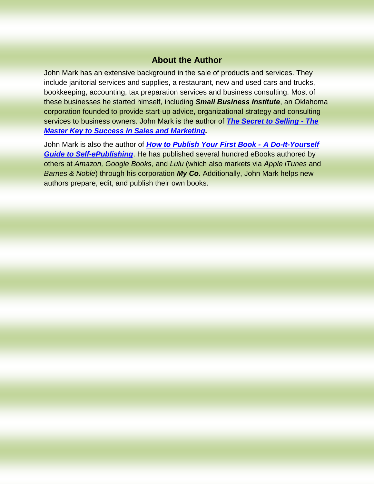## **About the Author**

<span id="page-3-0"></span>John Mark has an extensive background in the sale of products and services. They include janitorial services and supplies, a restaurant, new and used cars and trucks, bookkeeping, accounting, tax preparation services and business consulting. Most of these businesses he started himself, including *Small Business Institute*, an Oklahoma corporation founded to provide start-up advice, organizational strategy and consulting services to business owners. John Mark is the author of *[The Secret to Selling -](http://www.secret2selling.com/) The [Master Key to Success in Sales and Marketing.](http://www.secret2selling.com/)*

John Mark is also the author of *[How to Publish Your First Book](http://www.how2publish.org/) - A Do-It-Yourself [Guide to Self-ePublishing](http://www.how2publish.org/)*. He has published several hundred eBooks authored by others at *Amazon, Google Books*, and *Lulu* (which also markets via *Apple iTunes* and *Barnes & Noble*) through his corporation *My Co.* Additionally, John Mark helps new authors prepare, edit, and publish their own books.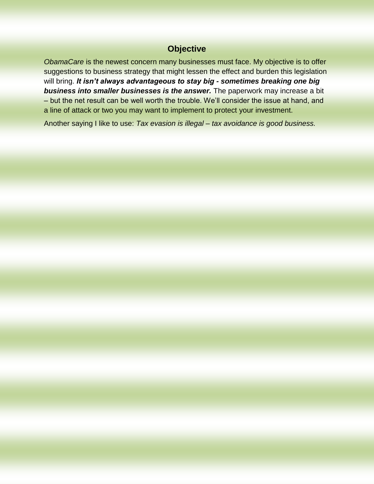## **Objective**

<span id="page-4-0"></span>*ObamaCare* is the newest concern many businesses must face. My objective is to offer suggestions to business strategy that might lessen the effect and burden this legislation will bring. *It isn't always advantageous to stay big - sometimes breaking one big business into smaller businesses is the answer.* The paperwork may increase a bit – but the net result can be well worth the trouble. We'll consider the issue at hand, and a line of attack or two you may want to implement to protect your investment.

Another saying I like to use: *Tax evasion is illegal – tax avoidance is good business.*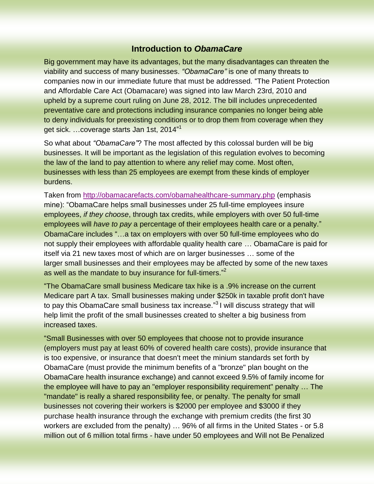#### **Introduction to** *ObamaCare*

<span id="page-5-0"></span>Big government may have its advantages, but the many disadvantages can threaten the viability and success of many businesses. *"ObamaCare"* is one of many threats to companies now in our immediate future that must be addressed. "The Patient Protection and Affordable Care Act (Obamacare) was signed into law March 23rd, 2010 and upheld by a supreme court ruling on June 28, 2012. The bill includes unprecedented preventative care and protections including insurance companies no longer being able to deny individuals for preexisting conditions or to drop them from coverage when they get sick. …coverage starts Jan 1st, 2014" 1

So what about *"ObamaCare"*? The most affected by this colossal burden will be big businesses. It will be important as the legislation of this regulation evolves to becoming the law of the land to pay attention to where any relief may come. Most often, businesses with less than 25 employees are exempt from these kinds of employer burdens.

Taken from<http://obamacarefacts.com/obamahealthcare-summary.php> (emphasis mine): "ObamaCare helps small businesses under 25 full-time employees insure employees, *if they choose*, through tax credits, while employers with over 50 full-time employees will *have to pay* a percentage of their employees health care or a penalty." ObamaCare includes "…a tax on employers with over 50 full-time employees who do not supply their employees with affordable quality health care … ObamaCare is paid for itself via 21 new taxes most of which are on larger businesses … some of the larger small businesses and their employees may be affected by some of the new taxes as well as the mandate to buy insurance for full-timers."<sup>2</sup>

"The ObamaCare small business Medicare tax hike is a .9% increase on the current Medicare part A tax. Small businesses making under \$250k in taxable profit don't have to pay this ObamaCare small business tax increase."<sup>3</sup> I will discuss strategy that will help limit the profit of the small businesses created to shelter a big business from increased taxes.

"Small Businesses with over 50 employees that choose not to provide insurance (employers must pay at least 60% of covered health care costs), provide insurance that is too expensive, or insurance that doesn't meet the minium standards set forth by ObamaCare (must provide the minimum benefits of a "bronze" plan bought on the ObamaCare health insurance exchange) and cannot exceed 9.5% of family income for the employee will have to pay an "employer responsibility requirement" penalty … The "mandate" is really a shared responsibility fee, or penalty. The penalty for small businesses not covering their workers is \$2000 per employee and \$3000 if they purchase health insurance through the exchange with premium credits (the first 30 workers are excluded from the penalty) … 96% of all firms in the United States - or 5.8 million out of 6 million total firms - have under 50 employees and Will not Be Penalized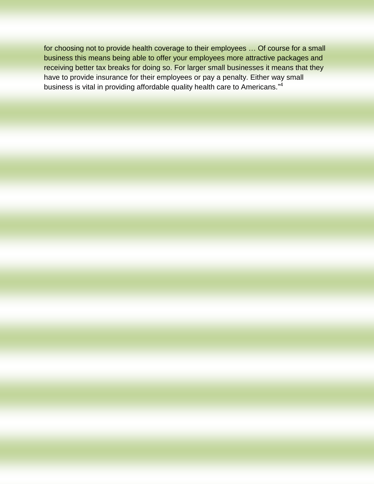for choosing not to provide health coverage to their employees … Of course for a small business this means being able to offer your employees more attractive packages and receiving better tax breaks for doing so. For larger small businesses it means that they have to provide insurance for their employees or pay a penalty. Either way small business is vital in providing affordable quality health care to Americans."<sup>4</sup>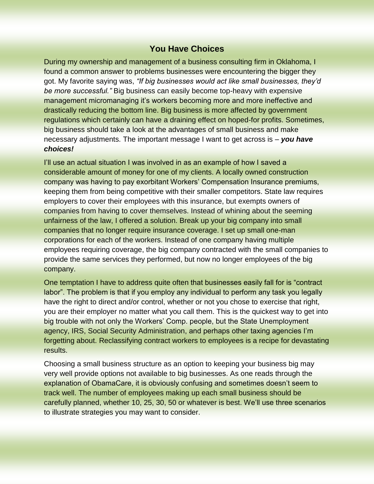### **You Have Choices**

<span id="page-7-0"></span>During my ownership and management of a business consulting firm in Oklahoma, I found a common answer to problems businesses were encountering the bigger they got. My favorite saying was, *"If big businesses would act like small businesses, they'd be more successful."* Big business can easily become top-heavy with expensive management micromanaging it's workers becoming more and more ineffective and drastically reducing the bottom line. Big business is more affected by government regulations which certainly can have a draining effect on hoped-for profits. Sometimes, big business should take a look at the advantages of small business and make necessary adjustments. The important message I want to get across is – *you have choices!*

I'll use an actual situation I was involved in as an example of how I saved a considerable amount of money for one of my clients. A locally owned construction company was having to pay exorbitant Workers' Compensation Insurance premiums, keeping them from being competitive with their smaller competitors. State law requires employers to cover their employees with this insurance, but exempts owners of companies from having to cover themselves. Instead of whining about the seeming unfairness of the law, I offered a solution. Break up your big company into small companies that no longer require insurance coverage. I set up small one-man corporations for each of the workers. Instead of one company having multiple employees requiring coverage, the big company contracted with the small companies to provide the same services they performed, but now no longer employees of the big company.

One temptation I have to address quite often that businesses easily fall for is "contract labor". The problem is that if you employ any individual to perform any task you legally have the right to direct and/or control, whether or not you chose to exercise that right, you are their employer no matter what you call them. This is the quickest way to get into big trouble with not only the Workers' Comp. people, but the State Unemployment agency, IRS, Social Security Administration, and perhaps other taxing agencies I'm forgetting about. Reclassifying contract workers to employees is a recipe for devastating results.

Choosing a small business structure as an option to keeping your business big may very well provide options not available to big businesses. As one reads through the explanation of ObamaCare, it is obviously confusing and sometimes doesn't seem to track well. The number of employees making up each small business should be carefully planned, whether 10, 25, 30, 50 or whatever is best. We'll use three scenarios to illustrate strategies you may want to consider.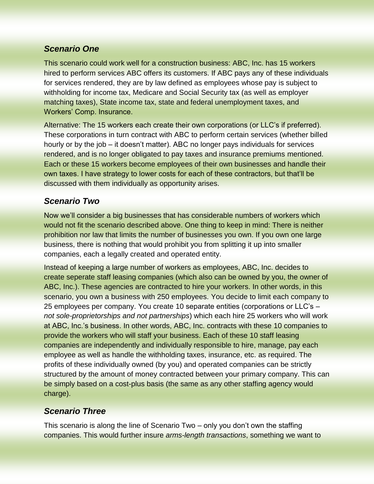## <span id="page-8-0"></span>*Scenario One*

This scenario could work well for a construction business: ABC, Inc. has 15 workers hired to perform services ABC offers its customers. If ABC pays any of these individuals for services rendered, they are by law defined as employees whose pay is subject to withholding for income tax, Medicare and Social Security tax (as well as employer matching taxes), State income tax, state and federal unemployment taxes, and Workers' Comp. Insurance.

Alternative: The 15 workers each create their own corporations (or LLC's if preferred). These corporations in turn contract with ABC to perform certain services (whether billed hourly or by the job – it doesn't matter). ABC no longer pays individuals for services rendered, and is no longer obligated to pay taxes and insurance premiums mentioned. Each or these 15 workers become employees of their own businesses and handle their own taxes. I have strategy to lower costs for each of these contractors, but that'll be discussed with them individually as opportunity arises.

# <span id="page-8-1"></span>*Scenario Two*

Now we'll consider a big businesses that has considerable numbers of workers which would not fit the scenario described above. One thing to keep in mind: There is neither prohibition nor law that limits the number of businesses you own. If you own one large business, there is nothing that would prohibit you from splitting it up into smaller companies, each a legally created and operated entity.

Instead of keeping a large number of workers as employees, ABC, Inc. decides to create seperate staff leasing companies (which also can be owned by you, the owner of ABC, Inc.). These agencies are contracted to hire your workers. In other words, in this scenario, you own a business with 250 employees. You decide to limit each company to 25 employees per company. You create 10 separate entities (corporations or LLC's – *not sole-proprietorships and not partnerships*) which each hire 25 workers who will work at ABC, Inc.'s business. In other words, ABC, Inc. contracts with these 10 companies to provide the workers who will staff your business. Each of these 10 staff leasing companies are independently and individually responsible to hire, manage, pay each employee as well as handle the withholding taxes, insurance, etc. as required. The profits of these individually owned (by you) and operated companies can be strictly structured by the amount of money contracted between your primary company. This can be simply based on a cost-plus basis (the same as any other staffing agency would charge).

## <span id="page-8-2"></span>*Scenario Three*

This scenario is along the line of Scenario Two – only you don't own the staffing companies. This would further insure *arms-length transactions*, something we want to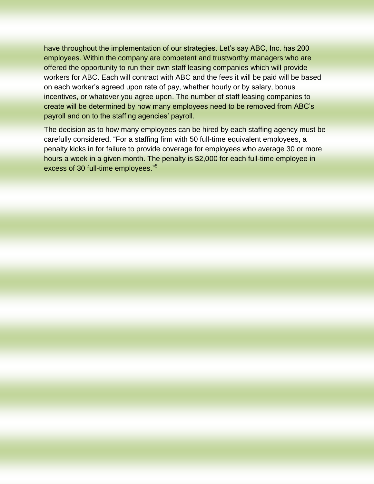have throughout the implementation of our strategies. Let's say ABC, Inc. has 200 employees. Within the company are competent and trustworthy managers who are offered the opportunity to run their own staff leasing companies which will provide workers for ABC. Each will contract with ABC and the fees it will be paid will be based on each worker's agreed upon rate of pay, whether hourly or by salary, bonus incentives, or whatever you agree upon. The number of staff leasing companies to create will be determined by how many employees need to be removed from ABC's payroll and on to the staffing agencies' payroll.

The decision as to how many employees can be hired by each staffing agency must be carefully considered. "For a staffing firm with 50 full-time equivalent employees, a penalty kicks in for failure to provide coverage for employees who average 30 or more hours a week in a given month. The penalty is \$2,000 for each full-time employee in excess of 30 full-time employees."<sup>5</sup>